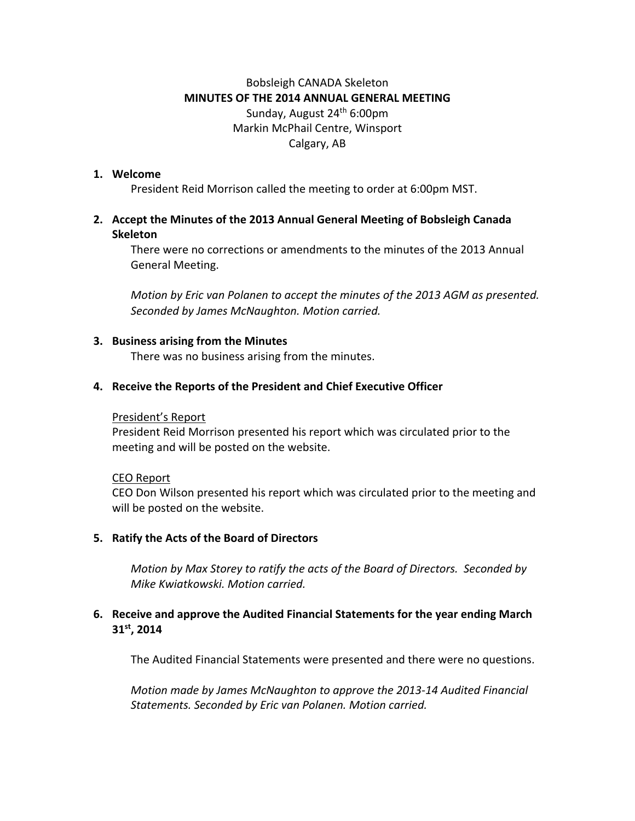# Bobsleigh CANADA Skeleton **MINUTES OF THE 2014 ANNUAL GENERAL MEETING** Sunday, August 24th 6:00pm Markin McPhail Centre, Winsport Calgary, AB

## **1. Welcome**

President Reid Morrison called the meeting to order at 6:00pm MST.

# **2. Accept the Minutes of the 2013 Annual General Meeting of Bobsleigh Canada Skeleton**

There were no corrections or amendments to the minutes of the 2013 Annual General Meeting.

*Motion by Eric van Polanen to accept the minutes of the 2013 AGM as presented. Seconded by James McNaughton. Motion carried.* 

#### **3. Business arising from the Minutes**

There was no business arising from the minutes.

#### **4. Receive the Reports of the President and Chief Executive Officer**

#### President's Report

President Reid Morrison presented his report which was circulated prior to the meeting and will be posted on the website.

#### CEO Report

CEO Don Wilson presented his report which was circulated prior to the meeting and will be posted on the website.

#### **5. Ratify the Acts of the Board of Directors**

*Motion by Max Storey to ratify the acts of the Board of Directors. Seconded by Mike Kwiatkowski. Motion carried.*

## **6. Receive and approve the Audited Financial Statements for the year ending March 31st, 2014**

The Audited Financial Statements were presented and there were no questions.

*Motion made by James McNaughton to approve the 2013-14 Audited Financial Statements. Seconded by Eric van Polanen. Motion carried.*